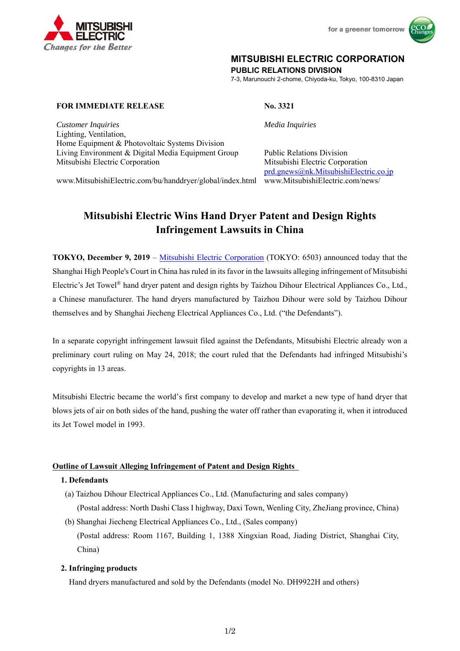

for a greener tomorrow



## **MITSUBISHI ELECTRIC CORPORATION**

**PUBLIC RELATIONS DIVISION** 

7-3, Marunouchi 2-chome, Chiyoda-ku, Tokyo, 100-8310 Japan

### **FOR IMMEDIATE RELEASE No. 3321**

*Customer Inquiries Media Inquiries* 

prd.gnews@nk.MitsubishiElectric.co.jp

Lighting, Ventilation, Home Equipment & Photovoltaic Systems Division Living Environment & Digital Media Equipment Group Public Relations Division Mitsubishi Electric Corporation Mitsubishi Electric Corporation

www.MitsubishiElectric.com/bu/handdryer/global/index.html www.MitsubishiElectric.com/news/

# **Mitsubishi Electric Wins Hand Dryer Patent and Design Rights Infringement Lawsuits in China**

**TOKYO, December 9, 2019** – Mitsubishi Electric Corporation (TOKYO: 6503) announced today that the Shanghai High People's Court in China has ruled in its favor in the lawsuits alleging infringement of Mitsubishi Electric's Jet Towel® hand dryer patent and design rights by Taizhou Dihour Electrical Appliances Co., Ltd., a Chinese manufacturer. The hand dryers manufactured by Taizhou Dihour were sold by Taizhou Dihour themselves and by Shanghai Jiecheng Electrical Appliances Co., Ltd. ("the Defendants").

In a separate copyright infringement lawsuit filed against the Defendants, Mitsubishi Electric already won a preliminary court ruling on May 24, 2018; the court ruled that the Defendants had infringed Mitsubishi's copyrights in 13 areas.

Mitsubishi Electric became the world's first company to develop and market a new type of hand dryer that blows jets of air on both sides of the hand, pushing the water off rather than evaporating it, when it introduced its Jet Towel model in 1993.

## **Outline of Lawsuit Alleging Infringement of Patent and Design Rights**

## **1. Defendants**

- (a) Taizhou Dihour Electrical Appliances Co., Ltd. (Manufacturing and sales company) (Postal address: North Dashi Class I highway, Daxi Town, Wenling City, ZheJiang province, China)
- (b) Shanghai Jiecheng Electrical Appliances Co., Ltd., (Sales company) (Postal address: Room 1167, Building 1, 1388 Xingxian Road, Jiading District, Shanghai City, China)

## **2. Infringing products**

Hand dryers manufactured and sold by the Defendants (model No. DH9922H and others)